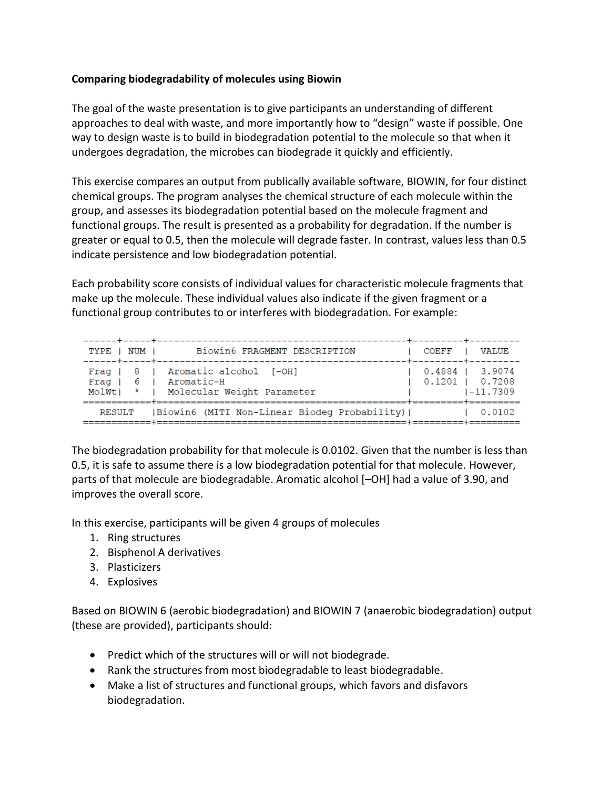## **Comparing biodegradability of molecules using Biowin**

The goal of the waste presentation is to give participants an understanding of different approaches to deal with waste, and more importantly how to "design" waste if possible. One way to design waste is to build in biodegradation potential to the molecule so that when it undergoes degradation, the microbes can biodegrade it quickly and efficiently.

This exercise compares an output from publically available software, BIOWIN, for four distinct chemical groups. The program analyses the chemical structure of each molecule within the group, and assesses its biodegradation potential based on the molecule fragment and functional groups. The result is presented as a probability for degradation. If the number is greater or equal to 0.5, then the molecule will degrade faster. In contrast, values less than 0.5 indicate persistence and low biodegradation potential.

Each probability score consists of individual values for characteristic molecule fragments that make up the molecule. These individual values also indicate if the given fragment or a functional group contributes to or interferes with biodegradation. For example:

| TYPE   NUM | _______________________________<br>Biowin6 FRAGMENT DESCRIPTION<br>------------------------------------ | COEFF | <b>VALUE</b>                                            |
|------------|---------------------------------------------------------------------------------------------------------|-------|---------------------------------------------------------|
|            | Frag   8   Aromatic alcohol [-OH]<br>Frag   6   Aromatic-H<br>MolWt  *   Molecular Weight Parameter     |       | $0.4884$   3.9074<br>$0.1201$   0.7208<br>$1 - 11.7309$ |
| RESULT     | Biowin6 (MITI Non-Linear Biodeg Probability)                                                            |       | 0.0102                                                  |

The biodegradation probability for that molecule is 0.0102. Given that the number is less than 0.5, it is safe to assume there is a low biodegradation potential for that molecule. However, parts of that molecule are biodegradable. Aromatic alcohol [–OH] had a value of 3.90, and improves the overall score.

In this exercise, participants will be given 4 groups of molecules

- 1. Ring structures
- 2. Bisphenol A derivatives
- 3. Plasticizers
- 4. Explosives

Based on BIOWIN 6 (aerobic biodegradation) and BIOWIN 7 (anaerobic biodegradation) output (these are provided), participants should:

- Predict which of the structures will or will not biodegrade.
- Rank the structures from most biodegradable to least biodegradable.
- Make a list of structures and functional groups, which favors and disfavors biodegradation.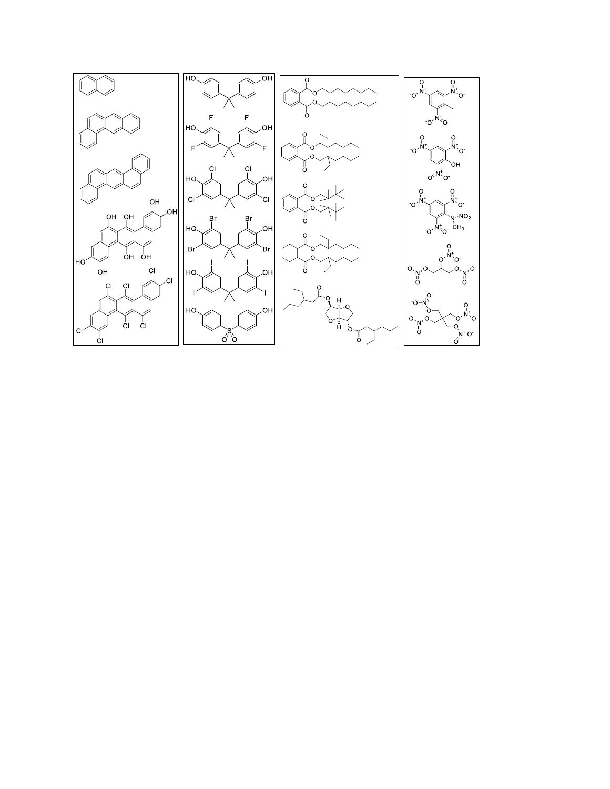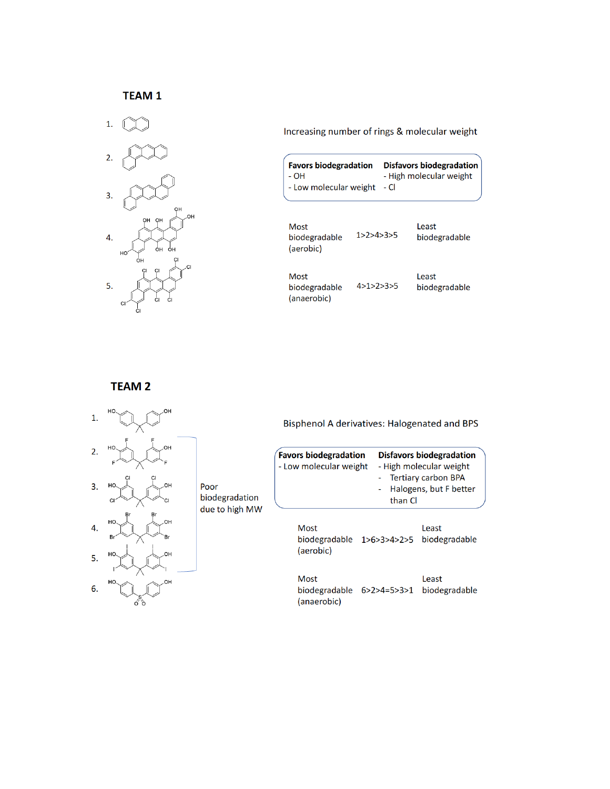**TEAM1** 



Increasing number of rings & molecular weight

| <b>Favors biodegradation</b> | <b>Disfavors biodegradation</b> |
|------------------------------|---------------------------------|
| $-OH$                        | - High molecular weight         |
| - Low molecular weight - Cl  |                                 |

| Most<br>biodegradable<br>(aerobic)   | 1 > 2 > 4 > 3 > 5 | Least<br>biodegradable  |
|--------------------------------------|-------------------|-------------------------|
| Most<br>biodegradable<br>(anaerobic) | 4 > 1 > 2 > 3 > 5 | l east<br>biodegradable |

**TEAM 2** 



Bisphenol A derivatives: Halogenated and BPS

| <b>Favors biodegradation</b><br>- Low molecular weight |  | <b>Disfavors biodegradation</b><br>- High molecular weight<br><b>Tertiary carbon BPA</b><br>Halogens, but F better<br>than Cl |                         |  |                        |  |
|--------------------------------------------------------|--|-------------------------------------------------------------------------------------------------------------------------------|-------------------------|--|------------------------|--|
| Most<br>biodegradable<br>(aerobic)                     |  |                                                                                                                               | 1>6>3>4>2>5             |  | Least<br>biodegradable |  |
| Most<br>biodegradable<br>(anaerobic)                   |  |                                                                                                                               | $6 > 2 > 4 = 5 > 3 > 1$ |  | Least<br>biodegradable |  |